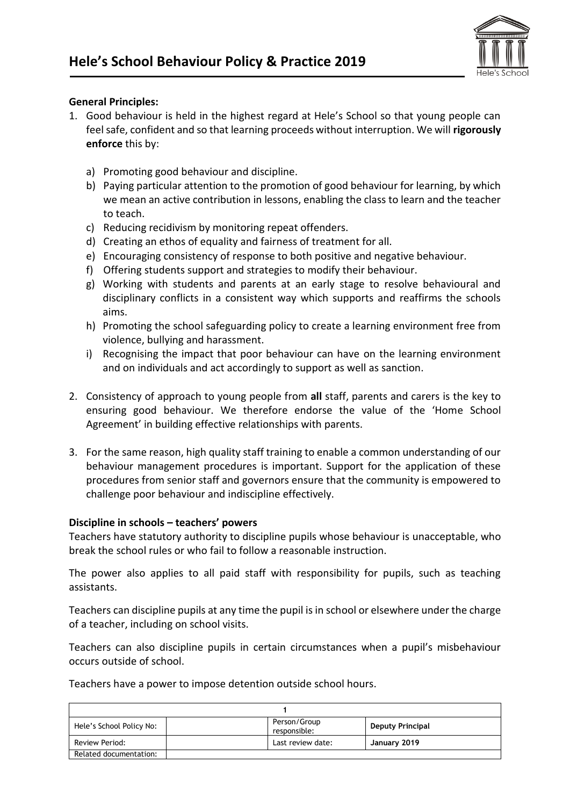

## **General Principles:**

- 1. Good behaviour is held in the highest regard at Hele's School so that young people can feel safe, confident and so that learning proceeds without interruption. We will **rigorously enforce** this by:
	- a) Promoting good behaviour and discipline.
	- b) Paying particular attention to the promotion of good behaviour for learning, by which we mean an active contribution in lessons, enabling the class to learn and the teacher to teach.
	- c) Reducing recidivism by monitoring repeat offenders.
	- d) Creating an ethos of equality and fairness of treatment for all.
	- e) Encouraging consistency of response to both positive and negative behaviour.
	- f) Offering students support and strategies to modify their behaviour.
	- g) Working with students and parents at an early stage to resolve behavioural and disciplinary conflicts in a consistent way which supports and reaffirms the schools aims.
	- h) Promoting the school safeguarding policy to create a learning environment free from violence, bullying and harassment.
	- i) Recognising the impact that poor behaviour can have on the learning environment and on individuals and act accordingly to support as well as sanction.
- 2. Consistency of approach to young people from **all** staff, parents and carers is the key to ensuring good behaviour. We therefore endorse the value of the 'Home School Agreement' in building effective relationships with parents.
- 3. For the same reason, high quality staff training to enable a common understanding of our behaviour management procedures is important. Support for the application of these procedures from senior staff and governors ensure that the community is empowered to challenge poor behaviour and indiscipline effectively.

#### **Discipline in schools – teachers' powers**

Teachers have statutory authority to discipline pupils whose behaviour is unacceptable, who break the school rules or who fail to follow a reasonable instruction.

The power also applies to all paid staff with responsibility for pupils, such as teaching assistants.

Teachers can discipline pupils at any time the pupil is in school or elsewhere under the charge of a teacher, including on school visits.

Teachers can also discipline pupils in certain circumstances when a pupil's misbehaviour occurs outside of school.

Teachers have a power to impose detention outside school hours.

| Hele's School Policy No: |  | Person/Group<br>responsible: | <b>Deputy Principal</b> |  |
|--------------------------|--|------------------------------|-------------------------|--|
| Review Period:           |  | Last review date:            | January 2019            |  |
| Related documentation:   |  |                              |                         |  |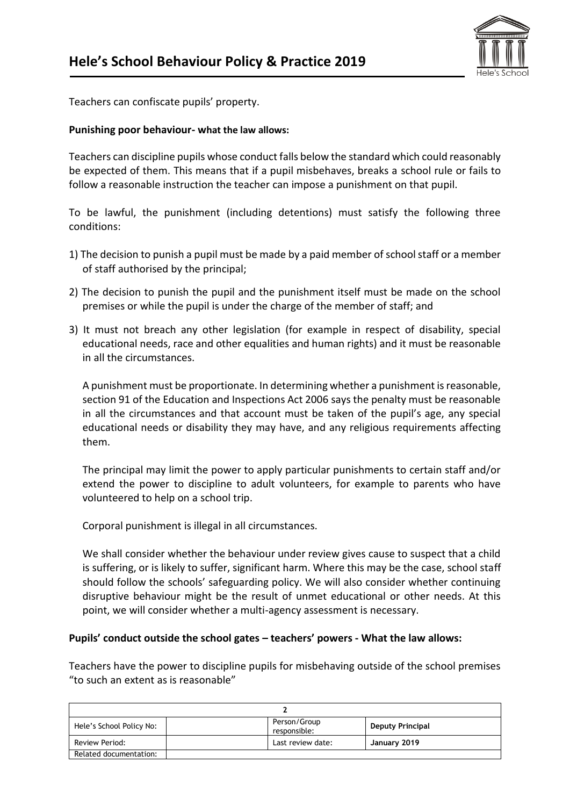

Teachers can confiscate pupils' property.

### **Punishing poor behaviour- what the law allows:**

Teachers can discipline pupils whose conduct falls below the standard which could reasonably be expected of them. This means that if a pupil misbehaves, breaks a school rule or fails to follow a reasonable instruction the teacher can impose a punishment on that pupil.

To be lawful, the punishment (including detentions) must satisfy the following three conditions:

- 1) The decision to punish a pupil must be made by a paid member of school staff or a member of staff authorised by the principal;
- 2) The decision to punish the pupil and the punishment itself must be made on the school premises or while the pupil is under the charge of the member of staff; and
- 3) It must not breach any other legislation (for example in respect of disability, special educational needs, race and other equalities and human rights) and it must be reasonable in all the circumstances.

A punishment must be proportionate. In determining whether a punishment is reasonable, section 91 of the Education and Inspections Act 2006 says the penalty must be reasonable in all the circumstances and that account must be taken of the pupil's age, any special educational needs or disability they may have, and any religious requirements affecting them.

The principal may limit the power to apply particular punishments to certain staff and/or extend the power to discipline to adult volunteers, for example to parents who have volunteered to help on a school trip.

Corporal punishment is illegal in all circumstances.

We shall consider whether the behaviour under review gives cause to suspect that a child is suffering, or is likely to suffer, significant harm. Where this may be the case, school staff should follow the schools' safeguarding policy. We will also consider whether continuing disruptive behaviour might be the result of unmet educational or other needs. At this point, we will consider whether a multi-agency assessment is necessary.

#### **Pupils' conduct outside the school gates – teachers' powers - What the law allows:**

Teachers have the power to discipline pupils for misbehaving outside of the school premises "to such an extent as is reasonable"

| Hele's School Policy No: |  | Person/Group<br>responsible: | <b>Deputy Principal</b> |
|--------------------------|--|------------------------------|-------------------------|
| Review Period:           |  | Last review date:            | January 2019            |
| Related documentation:   |  |                              |                         |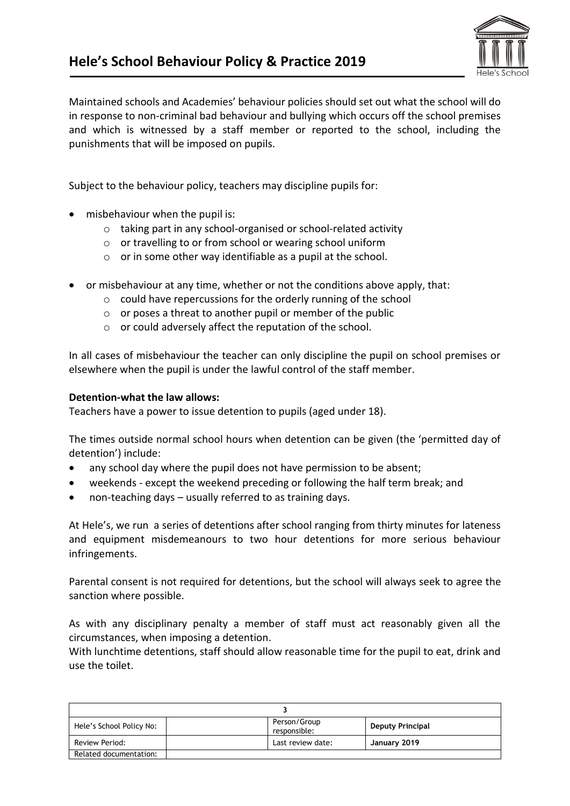

Maintained schools and Academies' behaviour policies should set out what the school will do in response to non-criminal bad behaviour and bullying which occurs off the school premises and which is witnessed by a staff member or reported to the school, including the punishments that will be imposed on pupils.

Subject to the behaviour policy, teachers may discipline pupils for:

- misbehaviour when the pupil is:
	- o taking part in any school-organised or school-related activity
	- o or travelling to or from school or wearing school uniform
	- $\circ$  or in some other way identifiable as a pupil at the school.
- or misbehaviour at any time, whether or not the conditions above apply, that:
	- o could have repercussions for the orderly running of the school
	- $\circ$  or poses a threat to another pupil or member of the public
	- o or could adversely affect the reputation of the school.

In all cases of misbehaviour the teacher can only discipline the pupil on school premises or elsewhere when the pupil is under the lawful control of the staff member.

## **Detention-what the law allows:**

Teachers have a power to issue detention to pupils (aged under 18).

The times outside normal school hours when detention can be given (the 'permitted day of detention') include:

- any school day where the pupil does not have permission to be absent;
- weekends except the weekend preceding or following the half term break; and
- non-teaching days usually referred to as training days.

At Hele's, we run a series of detentions after school ranging from thirty minutes for lateness and equipment misdemeanours to two hour detentions for more serious behaviour infringements.

Parental consent is not required for detentions, but the school will always seek to agree the sanction where possible.

As with any disciplinary penalty a member of staff must act reasonably given all the circumstances, when imposing a detention.

With lunchtime detentions, staff should allow reasonable time for the pupil to eat, drink and use the toilet.

| Hele's School Policy No: |  | Person/Group<br>responsible: | <b>Deputy Principal</b> |  |
|--------------------------|--|------------------------------|-------------------------|--|
| Review Period:           |  | Last review date:            | January 2019            |  |
| Related documentation:   |  |                              |                         |  |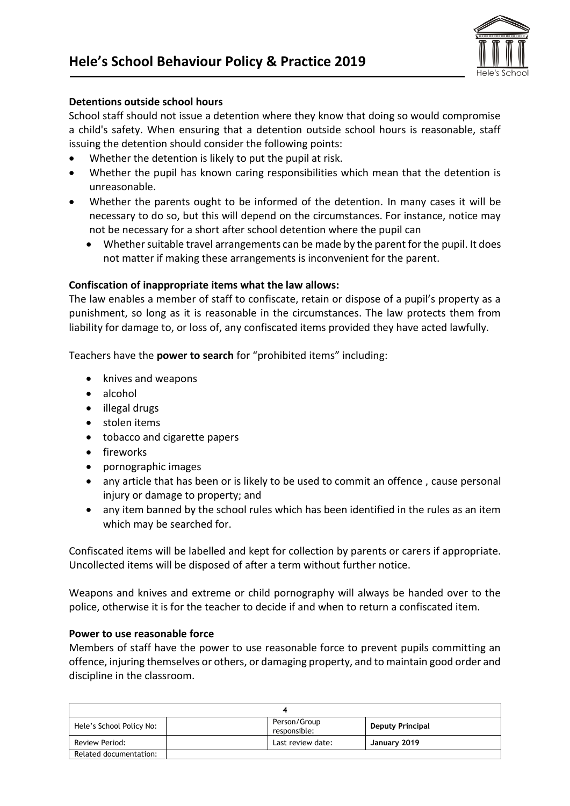

## **Detentions outside school hours**

School staff should not issue a detention where they know that doing so would compromise a child's safety. When ensuring that a detention outside school hours is reasonable, staff issuing the detention should consider the following points:

- Whether the detention is likely to put the pupil at risk.
- Whether the pupil has known caring responsibilities which mean that the detention is unreasonable.
- Whether the parents ought to be informed of the detention. In many cases it will be necessary to do so, but this will depend on the circumstances. For instance, notice may not be necessary for a short after school detention where the pupil can
	- Whether suitable travel arrangements can be made by the parent for the pupil. It does not matter if making these arrangements is inconvenient for the parent.

### **Confiscation of inappropriate items what the law allows:**

The law enables a member of staff to confiscate, retain or dispose of a pupil's property as a punishment, so long as it is reasonable in the circumstances. The law protects them from liability for damage to, or loss of, any confiscated items provided they have acted lawfully.

Teachers have the **power to search** for "prohibited items" including:

- knives and weapons
- alcohol
- illegal drugs
- stolen items
- tobacco and cigarette papers
- fireworks
- pornographic images
- any article that has been or is likely to be used to commit an offence , cause personal injury or damage to property; and
- any item banned by the school rules which has been identified in the rules as an item which may be searched for.

Confiscated items will be labelled and kept for collection by parents or carers if appropriate. Uncollected items will be disposed of after a term without further notice.

Weapons and knives and extreme or child pornography will always be handed over to the police, otherwise it is for the teacher to decide if and when to return a confiscated item.

#### **Power to use reasonable force**

Members of staff have the power to use reasonable force to prevent pupils committing an offence, injuring themselves or others, or damaging property, and to maintain good order and discipline in the classroom.

| Hele's School Policy No: |  | Person/Group<br>responsible: | <b>Deputy Principal</b> |  |
|--------------------------|--|------------------------------|-------------------------|--|
| Review Period:           |  | Last review date:            | January 2019            |  |
| Related documentation:   |  |                              |                         |  |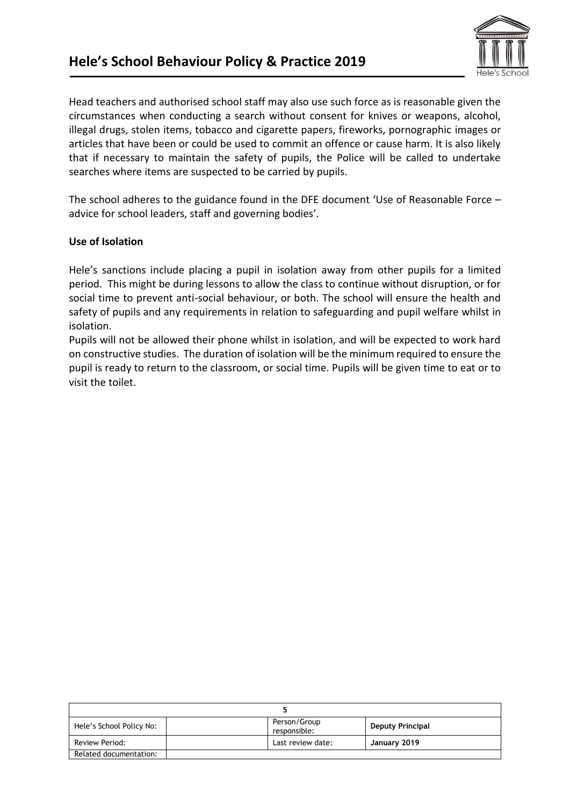

Head teachers and authorised school staff may also use such force as is reasonable given the circumstances when conducting a search without consent for knives or weapons, alcohol, illegal drugs, stolen items, tobacco and cigarette papers, fireworks, pornographic images or articles that have been or could be used to commit an offence or cause harm. It is also likely that if necessary to maintain the safety of pupils, the Police will be called to undertake searches where items are suspected to be carried by pupils.

The school adheres to the guidance found in the DFE document 'Use of Reasonable Force – advice for school leaders, staff and governing bodies'.

## **Use of Isolation**

Hele's sanctions include placing a pupil in isolation away from other pupils for a limited period. This might be during lessons to allow the class to continue without disruption, or for social time to prevent anti-social behaviour, or both. The school will ensure the health and safety of pupils and any requirements in relation to safeguarding and pupil welfare whilst in isolation.

Pupils will not be allowed their phone whilst in isolation, and will be expected to work hard on constructive studies. The duration of isolation will be the minimum required to ensure the pupil is ready to return to the classroom, or social time. Pupils will be given time to eat or to visit the toilet.

| Hele's School Policy No: |  | Person/Group<br>responsible: | <b>Deputy Principal</b> |  |
|--------------------------|--|------------------------------|-------------------------|--|
| Review Period:           |  | Last review date:            | January 2019            |  |
| Related documentation:   |  |                              |                         |  |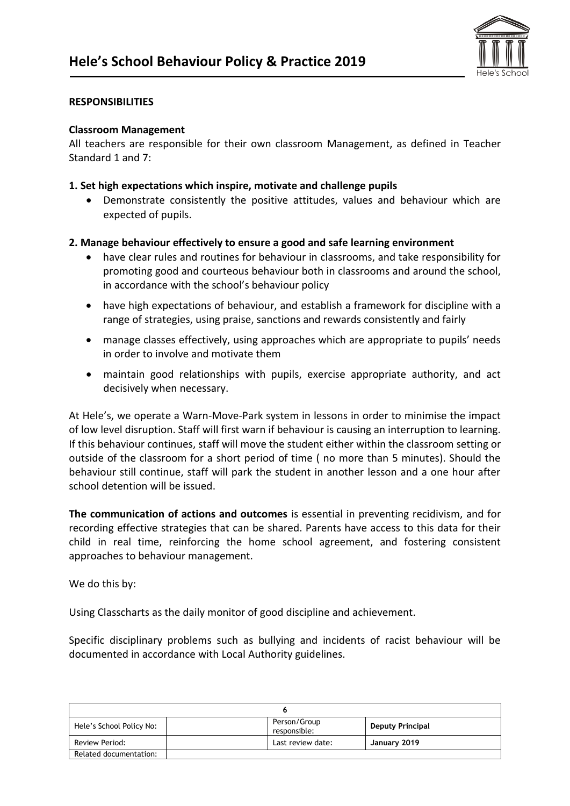

### **RESPONSIBILITIES**

#### **Classroom Management**

All teachers are responsible for their own classroom Management, as defined in Teacher Standard 1 and 7:

### **1. Set high expectations which inspire, motivate and challenge pupils**

• Demonstrate consistently the positive attitudes, values and behaviour which are expected of pupils.

## **2. Manage behaviour effectively to ensure a good and safe learning environment**

- have clear rules and routines for behaviour in classrooms, and take responsibility for promoting good and courteous behaviour both in classrooms and around the school, in accordance with the school's behaviour policy
- have high expectations of behaviour, and establish a framework for discipline with a range of strategies, using praise, sanctions and rewards consistently and fairly
- manage classes effectively, using approaches which are appropriate to pupils' needs in order to involve and motivate them
- maintain good relationships with pupils, exercise appropriate authority, and act decisively when necessary.

At Hele's, we operate a Warn-Move-Park system in lessons in order to minimise the impact of low level disruption. Staff will first warn if behaviour is causing an interruption to learning. If this behaviour continues, staff will move the student either within the classroom setting or outside of the classroom for a short period of time ( no more than 5 minutes). Should the behaviour still continue, staff will park the student in another lesson and a one hour after school detention will be issued.

**The communication of actions and outcomes** is essential in preventing recidivism, and for recording effective strategies that can be shared. Parents have access to this data for their child in real time, reinforcing the home school agreement, and fostering consistent approaches to behaviour management.

We do this by:

Using Classcharts as the daily monitor of good discipline and achievement.

Specific disciplinary problems such as bullying and incidents of racist behaviour will be documented in accordance with Local Authority guidelines.

| Hele's School Policy No: | Person/Group<br>responsible: | <b>Deputy Principal</b> |  |  |
|--------------------------|------------------------------|-------------------------|--|--|
| Review Period:           | Last review date:            | January 2019            |  |  |
| Related documentation:   |                              |                         |  |  |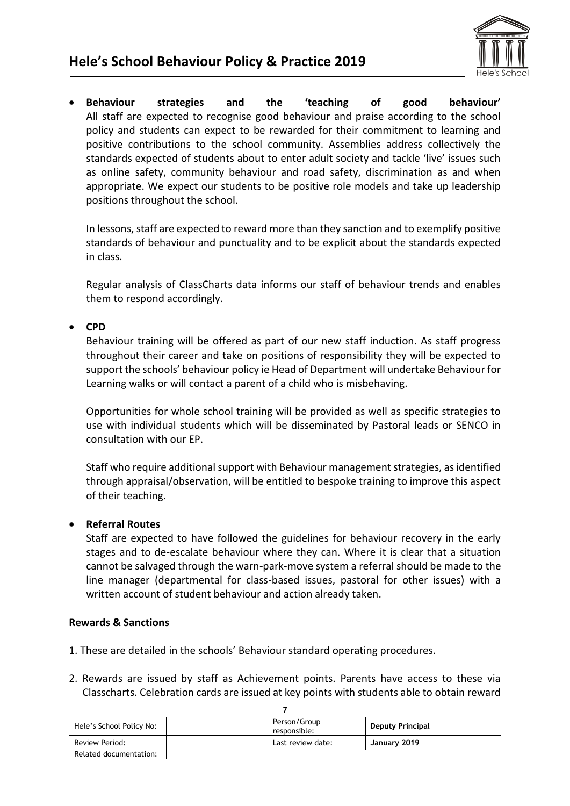

• **Behaviour strategies and the 'teaching of good behaviour'** All staff are expected to recognise good behaviour and praise according to the school policy and students can expect to be rewarded for their commitment to learning and positive contributions to the school community. Assemblies address collectively the standards expected of students about to enter adult society and tackle 'live' issues such as online safety, community behaviour and road safety, discrimination as and when appropriate. We expect our students to be positive role models and take up leadership positions throughout the school.

In lessons, staff are expected to reward more than they sanction and to exemplify positive standards of behaviour and punctuality and to be explicit about the standards expected in class.

Regular analysis of ClassCharts data informs our staff of behaviour trends and enables them to respond accordingly.

## • **CPD**

Behaviour training will be offered as part of our new staff induction. As staff progress throughout their career and take on positions of responsibility they will be expected to support the schools' behaviour policy ie Head of Department will undertake Behaviour for Learning walks or will contact a parent of a child who is misbehaving.

Opportunities for whole school training will be provided as well as specific strategies to use with individual students which will be disseminated by Pastoral leads or SENCO in consultation with our EP.

Staff who require additional support with Behaviour management strategies, as identified through appraisal/observation, will be entitled to bespoke training to improve this aspect of their teaching.

## • **Referral Routes**

Staff are expected to have followed the guidelines for behaviour recovery in the early stages and to de-escalate behaviour where they can. Where it is clear that a situation cannot be salvaged through the warn-park-move system a referral should be made to the line manager (departmental for class-based issues, pastoral for other issues) with a written account of student behaviour and action already taken.

## **Rewards & Sanctions**

- 1. These are detailed in the schools' Behaviour standard operating procedures.
- 2. Rewards are issued by staff as Achievement points. Parents have access to these via Classcharts. Celebration cards are issued at key points with students able to obtain reward

| Hele's School Policy No: |  | Person/Group<br>responsible: | <b>Deputy Principal</b> |  |
|--------------------------|--|------------------------------|-------------------------|--|
| Review Period:           |  | Last review date:            | January 2019            |  |
| Related documentation:   |  |                              |                         |  |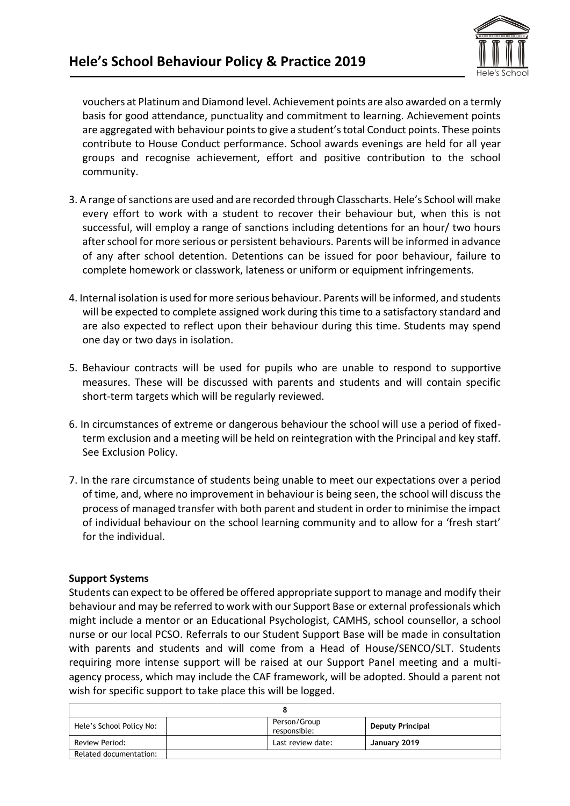

vouchers at Platinum and Diamond level. Achievement points are also awarded on a termly basis for good attendance, punctuality and commitment to learning. Achievement points are aggregated with behaviour points to give a student's total Conduct points. These points contribute to House Conduct performance. School awards evenings are held for all year groups and recognise achievement, effort and positive contribution to the school community.

- 3. A range of sanctions are used and are recorded through Classcharts. Hele's School will make every effort to work with a student to recover their behaviour but, when this is not successful, will employ a range of sanctions including detentions for an hour/ two hours after school for more serious or persistent behaviours. Parents will be informed in advance of any after school detention. Detentions can be issued for poor behaviour, failure to complete homework or classwork, lateness or uniform or equipment infringements.
- 4. Internal isolation is used for more serious behaviour. Parents will be informed, and students will be expected to complete assigned work during this time to a satisfactory standard and are also expected to reflect upon their behaviour during this time. Students may spend one day or two days in isolation.
- 5. Behaviour contracts will be used for pupils who are unable to respond to supportive measures. These will be discussed with parents and students and will contain specific short-term targets which will be regularly reviewed.
- 6. In circumstances of extreme or dangerous behaviour the school will use a period of fixedterm exclusion and a meeting will be held on reintegration with the Principal and key staff. See Exclusion Policy.
- 7. In the rare circumstance of students being unable to meet our expectations over a period of time, and, where no improvement in behaviour is being seen, the school will discuss the process of managed transfer with both parent and student in order to minimise the impact of individual behaviour on the school learning community and to allow for a 'fresh start' for the individual.

## **Support Systems**

Students can expect to be offered be offered appropriate support to manage and modify their behaviour and may be referred to work with our Support Base or external professionals which might include a mentor or an Educational Psychologist, CAMHS, school counsellor, a school nurse or our local PCSO. Referrals to our Student Support Base will be made in consultation with parents and students and will come from a Head of House/SENCO/SLT. Students requiring more intense support will be raised at our Support Panel meeting and a multiagency process, which may include the CAF framework, will be adopted. Should a parent not wish for specific support to take place this will be logged.

| Hele's School Policy No: |  | Person/Group<br>responsible: | <b>Deputy Principal</b> |
|--------------------------|--|------------------------------|-------------------------|
| Review Period:           |  | Last review date:            | January 2019            |
| Related documentation:   |  |                              |                         |